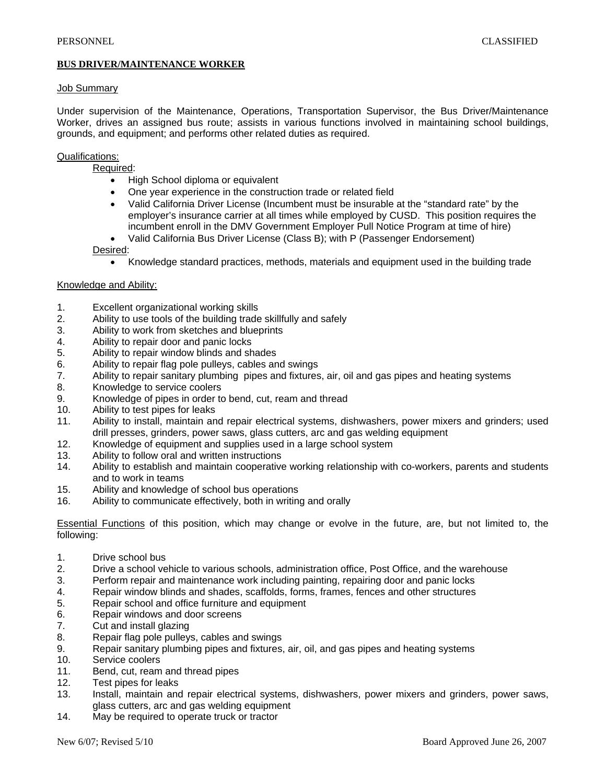# **BUS DRIVER/MAINTENANCE WORKER**

#### Job Summary

Under supervision of the Maintenance, Operations, Transportation Supervisor, the Bus Driver/Maintenance Worker, drives an assigned bus route; assists in various functions involved in maintaining school buildings, grounds, and equipment; and performs other related duties as required.

## Qualifications:

Required:

- High School diploma or equivalent
- One year experience in the construction trade or related field
- Valid California Driver License (Incumbent must be insurable at the "standard rate" by the employer's insurance carrier at all times while employed by CUSD. This position requires the incumbent enroll in the DMV Government Employer Pull Notice Program at time of hire)
- Valid California Bus Driver License (Class B); with P (Passenger Endorsement) Desired:
	- Knowledge standard practices, methods, materials and equipment used in the building trade

#### Knowledge and Ability:

- 1. Excellent organizational working skills
- 2. Ability to use tools of the building trade skillfully and safely
- 3. Ability to work from sketches and blueprints
- 4. Ability to repair door and panic locks
- 5. Ability to repair window blinds and shades
- 6. Ability to repair flag pole pulleys, cables and swings
- 7. Ability to repair sanitary plumbing pipes and fixtures, air, oil and gas pipes and heating systems
- 8. Knowledge to service coolers
- 9. Knowledge of pipes in order to bend, cut, ream and thread
- 10. Ability to test pipes for leaks
- 11. Ability to install, maintain and repair electrical systems, dishwashers, power mixers and grinders; used drill presses, grinders, power saws, glass cutters, arc and gas welding equipment
- 12. Knowledge of equipment and supplies used in a large school system
- 13. Ability to follow oral and written instructions
- 14. Ability to establish and maintain cooperative working relationship with co-workers, parents and students and to work in teams
- 15. Ability and knowledge of school bus operations
- 16. Ability to communicate effectively, both in writing and orally

Essential Functions of this position, which may change or evolve in the future, are, but not limited to, the following:

- 1. Drive school bus
- 2. Drive a school vehicle to various schools, administration office, Post Office, and the warehouse
- 3. Perform repair and maintenance work including painting, repairing door and panic locks
- 4. Repair window blinds and shades, scaffolds, forms, frames, fences and other structures
- 5. Repair school and office furniture and equipment
- 6. Repair windows and door screens
- 7. Cut and install glazing
- 8. Repair flag pole pulleys, cables and swings
- 9. Repair sanitary plumbing pipes and fixtures, air, oil, and gas pipes and heating systems
- 10. Service coolers
- 11. Bend, cut, ream and thread pipes
- 12. Test pipes for leaks
- 13. Install, maintain and repair electrical systems, dishwashers, power mixers and grinders, power saws, glass cutters, arc and gas welding equipment
- 14. May be required to operate truck or tractor